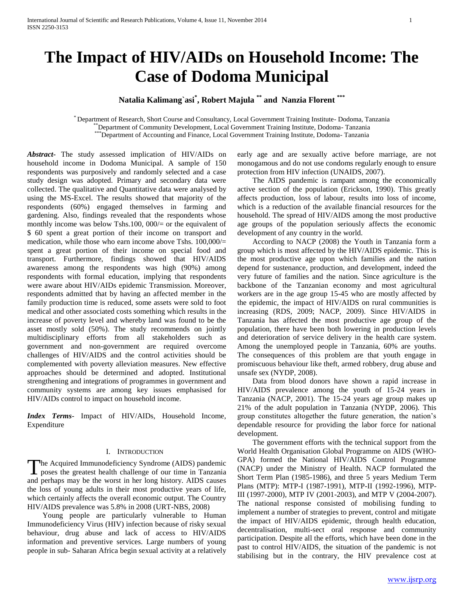# **The Impact of HIV/AIDs on Household Income: The Case of Dodoma Municipal**

## **Natalia Kalimang`asi\* , Robert Majula \*\* and Nanzia Florent \*\*\***

\* Department of Research, Short Course and Consultancy, Local Government Training Institute- Dodoma, Tanzania \*\*Department of Community Development, Local Government Training Institute, Dodoma- Tanzania \*\*\*Department of Accounting and Finance, Local Government Training Institute, Dodoma- Tanzania

*Abstract***-** The study assessed implication of HIV/AIDs on household income in Dodoma Municipal. A sample of 150 respondents was purposively and randomly selected and a case study design was adopted. Primary and secondary data were collected. The qualitative and Quantitative data were analysed by using the MS-Excel. The results showed that majority of the respondents (60%) engaged themselves in farming and gardening. Also, findings revealed that the respondents whose monthly income was below Tshs.100, 000/= or the equivalent of \$ 60 spent a great portion of their income on transport and medication, while those who earn income above Tshs. 100,000/= spent a great portion of their income on special food and transport. Furthermore, findings showed that HIV/AIDS awareness among the respondents was high (90%) among respondents with formal education, implying that respondents were aware about HIV/AIDs epidemic Transmission. Moreover, respondents admitted that by having an affected member in the family production time is reduced, some assets were sold to foot medical and other associated costs something which results in the increase of poverty level and whereby land was found to be the asset mostly sold (50%). The study recommends on jointly multidisciplinary efforts from all stakeholders such as government and non-government are required overcome challenges of HIV/AIDS and the control activities should be complemented with poverty alleviation measures. New effective approaches should be determined and adopted. Institutional strengthening and integrations of programmes in government and community systems are among key issues emphasised for HIV/AIDs control to impact on household income.

*Index Terms*- Impact of HIV/AIDs, Household Income, Expenditure

### I. INTRODUCTION

The Acquired Immunodeficiency Syndrome (AIDS) pandemic<br>poses the greatest health challenge of our time in Tanzania **I** poses the greatest health challenge of our time in Tanzania and perhaps may be the worst in her long history. AIDS causes the loss of young adults in their most productive years of life, which certainly affects the overall economic output. The Country HIV/AIDS prevalence was 5.8% in 2008 (URT-NBS, 2008)

 Young people are particularly vulnerable to Human Immunodeficiency Virus (HIV) infection because of risky sexual behaviour, drug abuse and lack of access to HIV/AIDS information and preventive services. Large numbers of young people in sub- Saharan Africa begin sexual activity at a relatively early age and are sexually active before marriage, are not monogamous and do not use condoms regularly enough to ensure protection from HIV infection (UNAIDS, 2007).

 The AIDS pandemic is rampant among the economically active section of the population (Erickson, 1990). This greatly affects production, loss of labour, results into loss of income, which is a reduction of the available financial resources for the household. The spread of HIV/AIDS among the most productive age groups of the population seriously affects the economic development of any country in the world.

 According to NACP (2008) the Youth in Tanzania form a group which is most affected by the HIV/AIDS epidemic. This is the most productive age upon which families and the nation depend for sustenance, production, and development, indeed the very future of families and the nation. Since agriculture is the backbone of the Tanzanian economy and most agricultural workers are in the age group 15-45 who are mostly affected by the epidemic, the impact of HIV/AIDS on rural communities is increasing (RDS, 2009; NACP, 2009). Since HIV/AIDS in Tanzania has affected the most productive age group of the population, there have been both lowering in production levels and deterioration of service delivery in the health care system. Among the unemployed people in Tanzania, 60% are youths. The consequences of this problem are that youth engage in promiscuous behaviour like theft, armed robbery, drug abuse and unsafe sex (NYDP, 2008).

 Data from blood donors have shown a rapid increase in HIV/AIDS prevalence among the youth of 15-24 years in Tanzania (NACP, 2001). The 15-24 years age group makes up 21% of the adult population in Tanzania (NYDP, 2006). This group constitutes altogether the future generation, the nation's dependable resource for providing the labor force for national development.

 The government efforts with the technical support from the World Health Organisation Global Programme on AIDS (WHO-GPA) formed the National HIV/AIDS Control Programme (NACP) under the Ministry of Health. NACP formulated the Short Term Plan (1985-1986), and three 5 years Medium Term Plans (MTP): MTP-I (1987-1991), MTP-II (1992-1996), MTP-III (1997-2000), MTP IV (2001-2003), and MTP V (2004-2007). The national response consisted of mobilising funding to implement a number of strategies to prevent, control and mitigate the impact of HIV/AIDS epidemic, through health education, decentralisation, multi-sect oral response and community participation. Despite all the efforts, which have been done in the past to control HIV/AIDS, the situation of the pandemic is not stabilising but in the contrary, the HIV prevalence cost at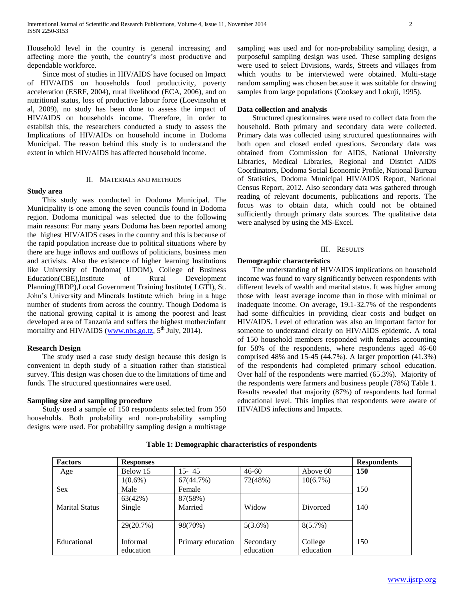Household level in the country is general increasing and affecting more the youth, the country's most productive and dependable workforce.

 Since most of studies in HIV/AIDS have focused on Impact of HIV/AIDS on households food productivity, poverty acceleration (ESRF, 2004), rural livelihood (ECA, 2006), and on nutritional status, loss of productive labour force (Loevinsohn et al, 2009), no study has been done to assess the impact of HIV/AIDS on households income. Therefore, in order to establish this, the researchers conducted a study to assess the Implications of HIV/AIDs on household income in Dodoma Municipal. The reason behind this study is to understand the extent in which HIV/AIDS has affected household income.

## II. MATERIALS AND METHODS

#### **Study area**

 This study was conducted in Dodoma Municipal. The Municipality is one among the seven councils found in Dodoma region. Dodoma municipal was selected due to the following main reasons: For many years Dodoma has been reported among the highest HIV/AIDS cases in the country and this is because of the rapid population increase due to political situations where by there are huge inflows and outflows of politicians, business men and activists. Also the existence of higher learning Institutions like University of Dodoma( UDOM), College of Business Education(CBE),Institute of Rural Development Planning(IRDP),Local Government Training Institute( LGTI), St. John's University and Minerals Institute which bring in a huge number of students from across the country. Though Dodoma is the national growing capital it is among the poorest and least developed area of Tanzania and suffers the highest mother/infant mortality and HIV/AIDS [\(www.nbs.go.tz,](http://www.nbs.go.tz/)  $5<sup>th</sup>$  July, 2014).

#### **Research Design**

 The study used a case study design because this design is convenient in depth study of a situation rather than statistical survey. This design was chosen due to the limitations of time and funds. The structured questionnaires were used.

## **Sampling size and sampling procedure**

 Study used a sample of 150 respondents selected from 350 households. Both probability and non-probability sampling designs were used. For probability sampling design a multistage sampling was used and for non-probability sampling design, a purposeful sampling design was used. These sampling designs were used to select Divisions, wards, Streets and villages from which youths to be interviewed were obtained. Multi-stage random sampling was chosen because it was suitable for drawing samples from large populations (Cooksey and Lokuji, 1995).

## **Data collection and analysis**

 Structured questionnaires were used to collect data from the household. Both primary and secondary data were collected. Primary data was collected using structured questionnaires with both open and closed ended questions. Secondary data was obtained from Commission for AIDS, National University Libraries, Medical Libraries, Regional and District AIDS Coordinators, Dodoma Social Economic Profile, National Bureau of Statistics, Dodoma Municipal HIV/AIDS Report, National Census Report, 2012. Also secondary data was gathered through reading of relevant documents, publications and reports. The focus was to obtain data, which could not be obtained sufficiently through primary data sources. The qualitative data were analysed by using the MS-Excel.

#### III. RESULTS

## **Demographic characteristics**

 The understanding of HIV/AIDS implications on household income was found to vary significantly between respondents with different levels of wealth and marital status. It was higher among those with least average income than in those with minimal or inadequate income. On average, 19.1-32.7% of the respondents had some difficulties in providing clear costs and budget on HIV/AIDS. Level of education was also an important factor for someone to understand clearly on HIV/AIDS epidemic. A total of 150 household members responded with females accounting for 58% of the respondents, where respondents aged 46-60 comprised 48% and 15-45 (44.7%). A larger proportion (41.3%) of the respondents had completed primary school education. Over half of the respondents were married (65.3%). Majority of the respondents were farmers and business people (78%) Table 1. Results revealed that majority (87%) of respondents had formal educational level. This implies that respondents were aware of HIV/AIDS infections and Impacts.

| <b>Factors</b>        | <b>Responses</b> |                   |            |                 | <b>Respondents</b> |
|-----------------------|------------------|-------------------|------------|-----------------|--------------------|
| Age                   | Below 15         | 15-45             | $46 - 60$  | Above 60        | <b>150</b>         |
|                       | $1(0.6\%)$       | 67(44.7%)         | 72(48%)    | 10(6.7%)        |                    |
| <b>Sex</b>            | Male             | Female            |            |                 | 150                |
|                       | 63(42%)          | 87(58%)           |            |                 |                    |
| <b>Marital Status</b> | Single           | Married           | Widow      | <b>Divorced</b> | 140                |
|                       | 29(20.7%)        | 98(70%)           | $5(3.6\%)$ | $8(5.7\%)$      |                    |
| Educational           | Informal         | Primary education | Secondary  | College         | 150                |
|                       | education        |                   | education  | education       |                    |

**Table 1: Demographic characteristics of respondents**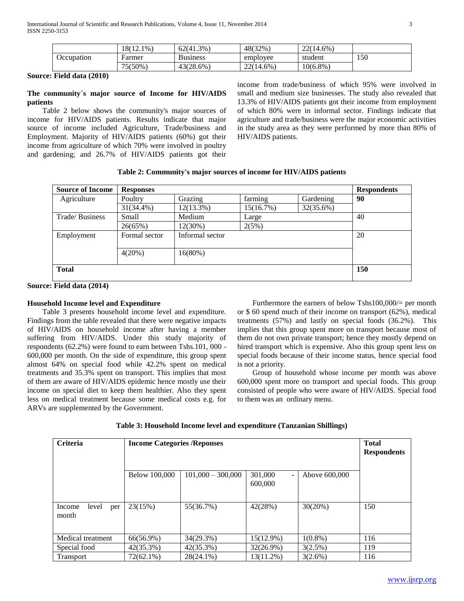|            | $18(12.1\%)$ | $62(41.3\%)$    | 48(32%)      | $22(14.6\%)$ |     |
|------------|--------------|-----------------|--------------|--------------|-----|
| Occupation | Farmer       | <b>Business</b> | employee     | student      | 150 |
|            | $75(50\%$    | 43(28.6%)       | $22(14.6\%)$ | $10(6.8\%)$  |     |

**Source: Field data (2010)**

## **The community`s major source of Income for HIV/AIDS patients**

 Table 2 below shows the community's major sources of income for HIV/AIDS patients. Results indicate that major source of income included Agriculture, Trade/business and Employment. Majority of HIV/AIDS patients (60%) got their income from agriculture of which 70% were involved in poultry and gardening; and 26.7% of HIV/AIDS patients got their income from trade/business of which 95% were involved in small and medium size businesses. The study also revealed that 13.3% of HIV/AIDS patients got their income from employment of which 80% were in informal sector. Findings indicate that agriculture and trade/business were the major economic activities in the study area as they were performed by more than 80% of HIV/AIDS patients.

| Table 2: Community's major sources of income for HIV/AIDS patients |  |  |  |  |  |  |
|--------------------------------------------------------------------|--|--|--|--|--|--|
|--------------------------------------------------------------------|--|--|--|--|--|--|

| <b>Source of Income</b> | <b>Responses</b> |                 |           |           | <b>Respondents</b> |
|-------------------------|------------------|-----------------|-----------|-----------|--------------------|
| Agriculture             | Poultry          | Grazing         | farming   | Gardening | 90                 |
|                         | $31(34.4\%)$     | 12(13.3%)       | 15(16.7%) | 32(35.6%) |                    |
| Trade/Business          | Small            | Medium          | Large     |           | 40                 |
|                         | 26(65%)          | $12(30\%)$      | 2(5%)     |           |                    |
| Employment              | Formal sector    | Informal sector |           |           | 20                 |
|                         | 4(20%)           | 16(80%)         |           |           |                    |
| <b>Total</b>            |                  |                 |           |           | <b>150</b>         |

**Source: Field data (2014)**

## **Household Income level and Expenditure**

 Table 3 presents household income level and expenditure. Findings from the table revealed that there were negative impacts of HIV/AIDS on household income after having a member suffering from HIV/AIDS. Under this study majority of respondents (62.2%) were found to earn between Tshs.101, 000 - 600,000 per month. On the side of expenditure, this group spent almost 64% on special food while 42.2% spent on medical treatments and 35.3% spent on transport. This implies that most of them are aware of HIV/AIDS epidemic hence mostly use their income on special diet to keep them healthier. Also they spent less on medical treatment because some medical costs e.g. for ARVs are supplemented by the Government.

Furthermore the earners of below Tshs100,000/= per month or \$ 60 spend much of their income on transport (62%), medical treatments (57%) and lastly on special foods (36.2%). This implies that this group spent more on transport because most of them do not own private transport; hence they mostly depend on hired transport which is expensive. Also this group spent less on special foods because of their income status, hence special food is not a priority.

 Group of household whose income per month was above 600,000 spent more on transport and special foods. This group consisted of people who were aware of HIV/AIDS. Special food to them was an ordinary menu.

| Table 3: Household Income level and expenditure (Tanzanian Shillings) |  |  |
|-----------------------------------------------------------------------|--|--|
|-----------------------------------------------------------------------|--|--|

| Criteria                        | <b>Income Categories /Reponses</b> | <b>Total</b><br><b>Respondents</b> |                                                |               |     |
|---------------------------------|------------------------------------|------------------------------------|------------------------------------------------|---------------|-----|
|                                 | Below 100,000                      | $101,000 - 300,000$                | 301,000<br>$\overline{\phantom{0}}$<br>600,000 | Above 600,000 |     |
| level<br>Income<br>per<br>month | 23(15%)                            | 55(36.7%)                          | 42(28%)                                        | 30(20%)       | 150 |
| Medical treatment               | 66(56.9%)                          | 34(29.3%)                          | $15(12.9\%)$                                   | $1(0.8\%)$    | 116 |
| Special food                    | $42(35.3\%)$                       | $42(35.3\%)$                       | $32(26.9\%)$                                   | 3(2.5%)       | 119 |
| Transport                       | $72(62.1\%)$                       | $28(24.1\%)$                       | $13(11.2\%)$                                   | 3(2.6%)       | 116 |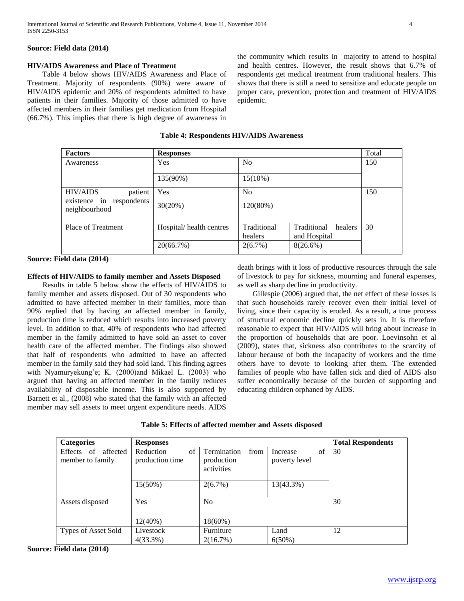## **Source: Field data (2014)**

## **HIV/AIDS Awareness and Place of Treatment**

 Table 4 below shows HIV/AIDS Awareness and Place of Treatment. Majority of respondents (90%) were aware of HIV/AIDS epidemic and 20% of respondents admitted to have patients in their families. Majority of those admitted to have affected members in their families get medication from Hospital (66.7%). This implies that there is high degree of awareness in the community which results in majority to attend to hospital and health centres. However, the result shows that 6.7% of respondents get medical treatment from traditional healers. This shows that there is still a need to sensitize and educate people on proper care, prevention, protection and treatment of HIV/AIDS epidemic.

**Table 4: Respondents HIV/AIDS Awareness**

| <b>Factors</b>                            | <b>Responses</b>        |                        |                                        | Total |
|-------------------------------------------|-------------------------|------------------------|----------------------------------------|-------|
| Awareness                                 | Yes                     | N <sub>0</sub>         |                                        | 150   |
|                                           | 135(90%)                | $15(10\%)$             |                                        |       |
| <b>HIV/AIDS</b><br>patient                | Yes                     | N <sub>0</sub>         |                                        | 150   |
| existence in respondents<br>neighbourhood | 30(20%)                 | 120(80%)               |                                        |       |
| Place of Treatment                        | Hospital/health centres | Traditional<br>healers | Traditional<br>healers<br>and Hospital | 30    |
|                                           | 20(66.7%)               | 2(6.7%)                | $8(26.6\%)$                            |       |

## **Source: Field data (2014)**

## **Effects of HIV/AIDS to family member and Assets Disposed**

 Results in table 5 below show the effects of HIV/AIDS to family member and assets disposed. Out of 30 respondents who admitted to have affected member in their families, more than 90% replied that by having an affected member in family, production time is reduced which results into increased poverty level. In addition to that, 40% of respondents who had affected member in the family admitted to have sold an asset to cover health care of the affected member. The findings also showed that half of respondents who admitted to have an affected member in the family said they had sold land. This finding agrees with Nyamuryekung'e; K. (2000)and Mikael L. (2003) who argued that having an affected member in the family reduces availability of disposable income. This is also supported by Barnett et al., (2008) who stated that the family with an affected member may sell assets to meet urgent expenditure needs. AIDS

death brings with it loss of productive resources through the sale of livestock to pay for sickness, mourning and funeral expenses, as well as sharp decline in productivity.

 Gillespie (2006) argued that, the net effect of these losses is that such households rarely recover even their initial level of living, since their capacity is eroded. As a result, a true process of structural economic decline quickly sets in. It is therefore reasonable to expect that HIV/AIDS will bring about increase in the proportion of households that are poor. Loevinsohn et al (2009), states that, sickness also contributes to the scarcity of labour because of both the incapacity of workers and the time others have to devote to looking after them. The extended families of people who have fallen sick and died of AIDS also suffer economically because of the burden of supporting and educating children orphaned by AIDS.

| Table 5: Effects of affected member and Assets disposed |  |
|---------------------------------------------------------|--|
|                                                         |  |

| <b>Categories</b>                             | <b>Responses</b>                           |                                                 |                                 | <b>Total Respondents</b> |
|-----------------------------------------------|--------------------------------------------|-------------------------------------------------|---------------------------------|--------------------------|
| affected<br>of<br>Effects<br>member to family | $\sigma$ f<br>Reduction<br>production time | Termination<br>from<br>production<br>activities | of<br>Increase<br>poverty level | 30                       |
|                                               | $15(50\%)$                                 | $2(6.7\%)$                                      | 13(43.3%)                       |                          |
| Assets disposed                               | Yes                                        | N <sub>o</sub>                                  |                                 | 30                       |
|                                               | 12(40%)                                    | 18(60%)                                         |                                 |                          |
| Types of Asset Sold                           | Livestock                                  | Furniture                                       | Land                            | 12                       |
|                                               | $4(33.3\%)$                                | 2(16.7%)                                        | $6(50\%)$                       |                          |

**Source: Field data (2014)**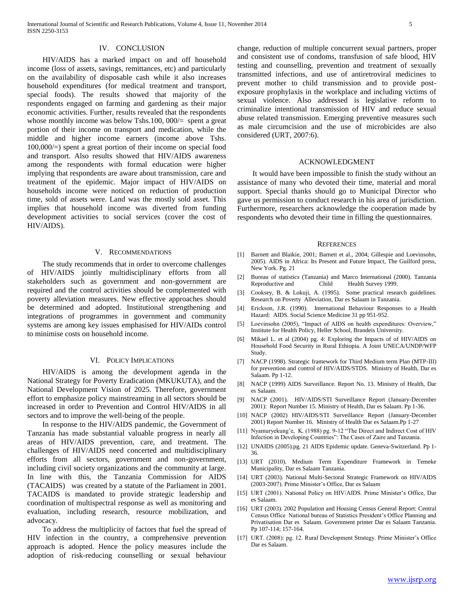#### IV. CONCLUSION

 HIV/AIDS has a marked impact on and off household income (loss of assets, savings, remittances, etc) and particularly on the availability of disposable cash while it also increases household expenditures (for medical treatment and transport, special foods). The results showed that majority of the respondents engaged on farming and gardening as their major economic activities. Further, results revealed that the respondents whose monthly income was below Tshs.100, 000/= spent a great portion of their income on transport and medication, while the middle and higher income earners (income above Tshs. 100,000/=) spent a great portion of their income on special food and transport. Also results showed that HIV/AIDS awareness among the respondents with formal education were higher implying that respondents are aware about transmission, care and treatment of the epidemic. Major impact of HIV/AIDS on households income were noticed on reduction of production time, sold of assets were. Land was the mostly sold asset. This implies that household income was diverted from funding development activities to social services (cover the cost of HIV/AIDS).

#### V. RECOMMENDATIONS

 The study recommends that in order to overcome challenges of HIV/AIDS jointly multidisciplinary efforts from all stakeholders such as government and non-government are required and the control activities should be complemented with poverty alleviation measures. New effective approaches should be determined and adopted. Institutional strengthening and integrations of programmes in government and community systems are among key issues emphasised for HIV/AIDs control to minimise costs on household income.

## VI. POLICY IMPLICATIONS

 HIV/AIDS is among the development agenda in the National Strategy for Poverty Eradication (MKUKUTA), and the National Development Vision of 2025. Therefore, government effort to emphasize policy mainstreaming in all sectors should be increased in order to Prevention and Control HIV/AIDS in all sectors and to improve the well-being of the people.

 In response to the HIV/AIDS pandemic, the Government of Tanzania has made substantial valuable progress in nearly all areas of HIV/AIDS prevention, care, and treatment. The challenges of HIV/AIDS need concerted and multidisciplinary efforts from all sectors, government and non-government, including civil society organizations and the community at large. In line with this, the Tanzania Commission for AIDS (TACAIDS) was created by a statute of the Parliament in 2001. TACAIDS is mandated to provide strategic leadership and coordination of multispectral response as well as monitoring and evaluation, including research, resource mobilization, and advocacy.

 To address the multiplicity of factors that fuel the spread of HIV infection in the country, a comprehensive prevention approach is adopted. Hence the policy measures include the adoption of risk-reducing counselling or sexual behaviour

change, reduction of multiple concurrent sexual partners, proper and consistent use of condoms, transfusion of safe blood, HIV testing and counselling, prevention and treatment of sexually transmitted infections, and use of antiretroviral medicines to prevent mother to child transmission and to provide postexposure prophylaxis in the workplace and including victims of sexual violence. Also addressed is legislative reform to criminalize intentional transmission of HIV and reduce sexual abuse related transmission. Emerging preventive measures such as male circumcision and the use of microbicides are also considered (URT, 2007:6).

#### ACKNOWLEDGMENT

 It would have been impossible to finish the study without an assistance of many who devoted their time, material and moral support. Special thanks should go to Municipal Director who gave us permission to conduct research in his area of jurisdiction. Furthermore, researchers acknowledge the cooperation made by respondents who devoted their time in filling the questionnaires.

#### **REFERENCES**

- [1] Barnett and Blaikie, 2001; Barnett et al., 2004; Gillespie and Loevinsohn, 2005). AIDS in Africa: Its Present and Future Impact, The Guilford press, New York. Pg. 21
- [2] Bureau of statistics (Tanzania) and Marco International (2000). Tanzania Reproductive and Child Health Survey 1999.
- [3] Cooksey, B. & Lokuji, A. (1995). Some practical research guidelines. Research on Poverty Alleviation, Dar es Salaam in Tanzania.
- [4] Erickson, J.R. (1990). International Behaviour Responses to a Health Hazard: AIDS. Social Science Medicine 31 pp 951-952.
- [5] Loevinsohn (2005), "Impact of AIDS on health expenditures: Overview," Institute for Health Policy, Heller School, Brandeis University.
- [6] Mikael L. et al (2004) pg. 4: Exploring the Impacts of of HIV/AIDS on Household Food Security in Rural Ethiopia. A Joint UNECA/UNDP/WFP Study.
- [7] NACP (1998). Strategic framework for Third Medium term Plan (MTP-III) for prevention and control of HIV/AIDS/STDS. Ministry of Health, Dar es Salaam. Pp 1-12.
- [8] NACP (1999) AIDS Surveillance. Report No. 13. Ministry of Health, Dar es Salaam.
- [9] NACP (2001). HIV/AIDS/STI Surveillance Report (January-December 2001): Report Number 15. Ministry of Health, Dar es Salaam. Pp 1-36.
- [10] NACP (2002) HIV/AIDS/STI Surveillance Report (January-December 2001) Report Number 16. Ministry of Health Dar es Salaam.Pp 1-27
- [11] Nyamuryekung'e, K. (1988) pg. 9-12 "The Direct and Indirect Cost of HIV Infection in Developing Countries": The Cases of Zaire and Tanzania.
- [12] UNAIDS (2005).pg. 21 AIDS Epidemic update. Geneva-Switzerland. Pp 1- 36.
- [13] URT (2010). Medium Term Expenditure Framework in Temeke Municipality, Dar es Salaam Tanzania.
- [14] URT (2003). National Multi-Sectoral Strategic Framework on HIV/AIDS (2003-2007). Prime Minister's Office, Dar es Salaam
- [15] URT (2001). National Policy on HIV/AIDS. Prime Minister's Office, Dar es Salaam.
- [16] URT (2003). 2002 Population and Housing Census General Report: Central Census Office National bureau of Statistics President's Office Planning and Privatisation Dar es Salaam. Government printer Dar es Salaam Tanzania. Pp 107-114; 157-164.
- [17] URT. (2008): pg. 12. Rural Development Strategy. Prime Minister's Office Dar es Salaam.